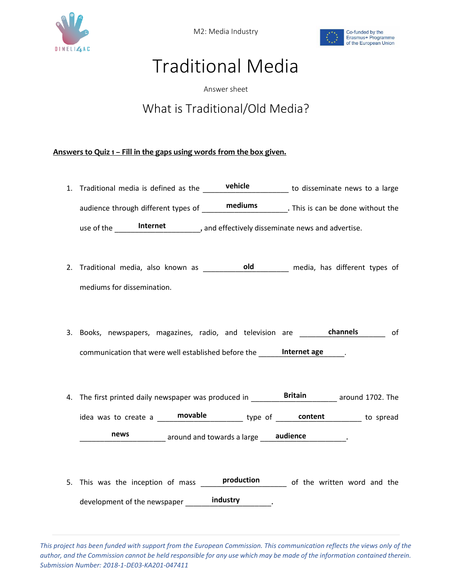

M2: Media Industry



## Traditional Media

Answer sheet

## What is Traditional/Old Media?

## **Answers to Quiz 1 – Fill in the gaps using words from the box given.**

- 1. Traditional media is defined as the **vehicle vertillie.** The disseminate news to a large audience through different types of **\_\_\_\_\_\_\_\_\_\_\_\_\_\_\_\_\_\_\_\_\_\_\_\_**. This is can be done without the use of the **Internet** and effectively disseminate news and advertise.
- 2. Traditional media, also known as \_\_\_\_\_\_\_\_\_\_\_\_\_\_\_\_\_\_\_\_\_ media, has different types of **old** mediums for dissemination.
- 3. Books, newspapers, magazines, radio, and television are \_\_\_\_\_\_\_\_\_\_\_\_\_\_\_\_\_\_\_\_\_ of **channels** communication that were well established before the **\_\_\_\_\_\_\_Internet age** \_\_\_\_\_\_.
- 4. The first printed daily newspaper was produced in \_\_\_\_\_\_\_\_**Britain** \_\_\_\_\_\_\_\_ around 1702. The idea was to create a **movable content content content content content content news** around and towards a large <u>audience</u> **and in the audience audience audience**
- 5. This was the inception of mass **production** of the written word and the development of the newspaper **industry** entitled.

*This project has been funded with support from the European Commission. This communication reflects the views only of the author, and the Commission cannot be held responsible for any use which may be made of the information contained therein. Submission Number: 2018-1-DE03-KA201-047411*